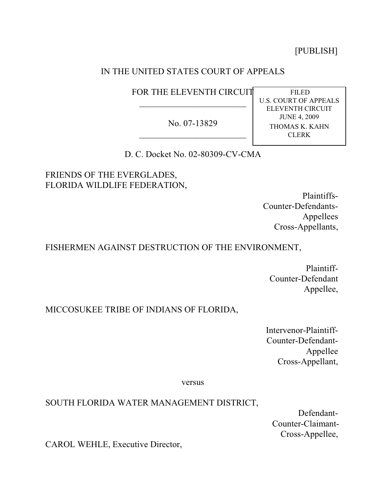[PUBLISH]

# IN THE UNITED STATES COURT OF APPEALS

FOR THE ELEVENTH CIRCUIT  $\overline{\phantom{a}}$ 

No. 07-13829  $\overline{\phantom{a}}$ 

 FILED U.S. COURT OF APPEALS ELEVENTH CIRCUIT JUNE 4, 2009 THOMAS K. KAHN CLERK

D. C. Docket No. 02-80309-CV-CMA

FRIENDS OF THE EVERGLADES, FLORIDA WILDLIFE FEDERATION,

> Plaintiffs-Counter-Defendants-Appellees Cross-Appellants,

## FISHERMEN AGAINST DESTRUCTION OF THE ENVIRONMENT,

Plaintiff-Counter-Defendant Appellee,

# MICCOSUKEE TRIBE OF INDIANS OF FLORIDA,

Intervenor-Plaintiff-Counter-Defendant-Appellee Cross-Appellant,

versus

## SOUTH FLORIDA WATER MANAGEMENT DISTRICT,

Defendant-Counter-Claimant-Cross-Appellee,

CAROL WEHLE, Executive Director,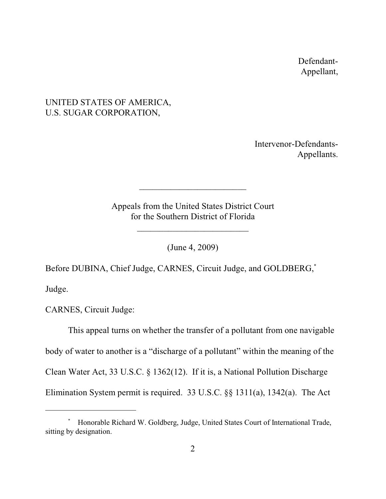Defendant-Appellant,

# UNITED STATES OF AMERICA, U.S. SUGAR CORPORATION,

Intervenor-Defendants-Appellants.

Appeals from the United States District Court for the Southern District of Florida

\_\_\_\_\_\_\_\_\_\_\_\_\_\_\_\_\_\_\_\_\_\_\_\_\_

 $\overline{\phantom{a}}$ 

(June 4, 2009)

Before DUBINA, Chief Judge, CARNES, Circuit Judge, and GOLDBERG,\*

Judge.

CARNES, Circuit Judge:

This appeal turns on whether the transfer of a pollutant from one navigable body of water to another is a "discharge of a pollutant" within the meaning of the Clean Water Act, 33 U.S.C. § 1362(12). If it is, a National Pollution Discharge Elimination System permit is required. 33 U.S.C. §§ 1311(a), 1342(a). The Act

Honorable Richard W. Goldberg, Judge, United States Court of International Trade, \* sitting by designation.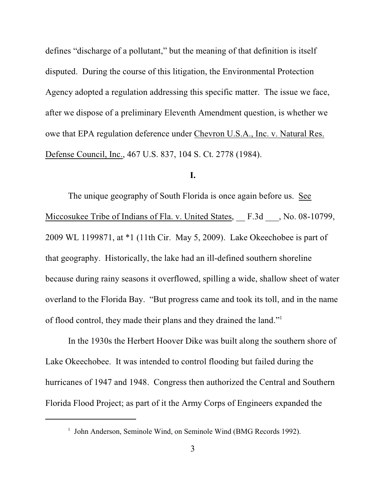defines "discharge of a pollutant," but the meaning of that definition is itself disputed. During the course of this litigation, the Environmental Protection Agency adopted a regulation addressing this specific matter. The issue we face, after we dispose of a preliminary Eleventh Amendment question, is whether we owe that EPA regulation deference under Chevron U.S.A., Inc. v. Natural Res. Defense Council, Inc., 467 U.S. 837, 104 S. Ct. 2778 (1984).

## **I.**

The unique geography of South Florida is once again before us. See Miccosukee Tribe of Indians of Fla. v. United States, F.3d , No. 08-10799, 2009 WL 1199871, at \*1 (11th Cir. May 5, 2009). Lake Okeechobee is part of that geography. Historically, the lake had an ill-defined southern shoreline because during rainy seasons it overflowed, spilling a wide, shallow sheet of water overland to the Florida Bay. "But progress came and took its toll, and in the name of flood control, they made their plans and they drained the land."<sup>1</sup>

In the 1930s the Herbert Hoover Dike was built along the southern shore of Lake Okeechobee. It was intended to control flooding but failed during the hurricanes of 1947 and 1948. Congress then authorized the Central and Southern Florida Flood Project; as part of it the Army Corps of Engineers expanded the

<sup>&</sup>lt;sup>1</sup> John Anderson, Seminole Wind, on Seminole Wind (BMG Records 1992).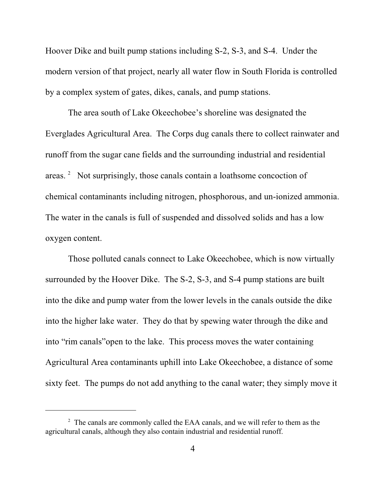Hoover Dike and built pump stations including S-2, S-3, and S-4. Under the modern version of that project, nearly all water flow in South Florida is controlled by a complex system of gates, dikes, canals, and pump stations.

The area south of Lake Okeechobee's shoreline was designated the Everglades Agricultural Area. The Corps dug canals there to collect rainwater and runoff from the sugar cane fields and the surrounding industrial and residential areas.  $\degree$  Not surprisingly, those canals contain a loathsome concoction of chemical contaminants including nitrogen, phosphorous, and un-ionized ammonia. The water in the canals is full of suspended and dissolved solids and has a low oxygen content.

Those polluted canals connect to Lake Okeechobee, which is now virtually surrounded by the Hoover Dike. The S-2, S-3, and S-4 pump stations are built into the dike and pump water from the lower levels in the canals outside the dike into the higher lake water. They do that by spewing water through the dike and into "rim canals"open to the lake. This process moves the water containing Agricultural Area contaminants uphill into Lake Okeechobee, a distance of some sixty feet. The pumps do not add anything to the canal water; they simply move it

 $\alpha$ <sup>2</sup> The canals are commonly called the EAA canals, and we will refer to them as the agricultural canals, although they also contain industrial and residential runoff.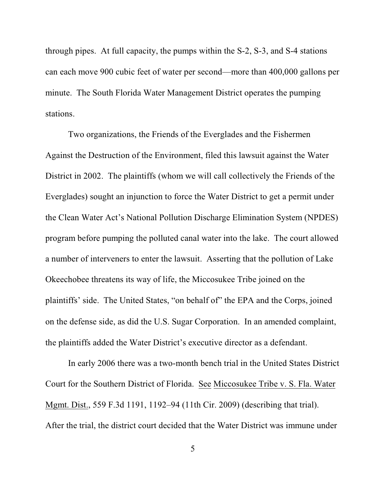through pipes. At full capacity, the pumps within the S-2, S-3, and S-4 stations can each move 900 cubic feet of water per second—more than 400,000 gallons per minute.The South Florida Water Management District operates the pumping stations.

Two organizations, the Friends of the Everglades and the Fishermen Against the Destruction of the Environment, filed this lawsuit against the Water District in 2002. The plaintiffs (whom we will call collectively the Friends of the Everglades) sought an injunction to force the Water District to get a permit under the Clean Water Act's National Pollution Discharge Elimination System (NPDES) program before pumping the polluted canal water into the lake. The court allowed a number of interveners to enter the lawsuit. Asserting that the pollution of Lake Okeechobee threatens its way of life, the Miccosukee Tribe joined on the plaintiffs' side. The United States, "on behalf of" the EPA and the Corps, joined on the defense side, as did the U.S. Sugar Corporation. In an amended complaint, the plaintiffs added the Water District's executive director as a defendant.

In early 2006 there was a two-month bench trial in the United States District Court for the Southern District of Florida. See Miccosukee Tribe v. S. Fla. Water Mgmt. Dist., 559 F.3d 1191, 1192–94 (11th Cir. 2009) (describing that trial). After the trial, the district court decided that the Water District was immune under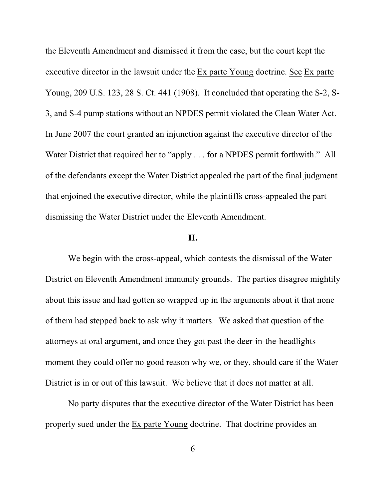the Eleventh Amendment and dismissed it from the case, but the court kept the executive director in the lawsuit under the Ex parte Young doctrine. See Ex parte Young, 209 U.S. 123, 28 S. Ct. 441 (1908). It concluded that operating the S-2, S-3, and S-4 pump stations without an NPDES permit violated the Clean Water Act. In June 2007 the court granted an injunction against the executive director of the Water District that required her to "apply . . . for a NPDES permit forthwith." All of the defendants except the Water District appealed the part of the final judgment that enjoined the executive director, while the plaintiffs cross-appealed the part dismissing the Water District under the Eleventh Amendment.

### **II.**

We begin with the cross-appeal, which contests the dismissal of the Water District on Eleventh Amendment immunity grounds. The parties disagree mightily about this issue and had gotten so wrapped up in the arguments about it that none of them had stepped back to ask why it matters. We asked that question of the attorneys at oral argument, and once they got past the deer-in-the-headlights moment they could offer no good reason why we, or they, should care if the Water District is in or out of this lawsuit. We believe that it does not matter at all.

No party disputes that the executive director of the Water District has been properly sued under the Ex parte Young doctrine. That doctrine provides an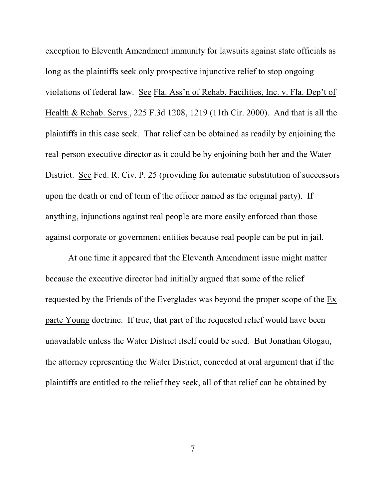exception to Eleventh Amendment immunity for lawsuits against state officials as long as the plaintiffs seek only prospective injunctive relief to stop ongoing violations of federal law. See Fla. Ass'n of Rehab. Facilities, Inc. v. Fla. Dep't of Health & Rehab. Servs., 225 F.3d 1208, 1219 (11th Cir. 2000). And that is all the plaintiffs in this case seek. That relief can be obtained as readily by enjoining the real-person executive director as it could be by enjoining both her and the Water District. See Fed. R. Civ. P. 25 (providing for automatic substitution of successors upon the death or end of term of the officer named as the original party). If anything, injunctions against real people are more easily enforced than those against corporate or government entities because real people can be put in jail.

At one time it appeared that the Eleventh Amendment issue might matter because the executive director had initially argued that some of the relief requested by the Friends of the Everglades was beyond the proper scope of the Ex parte Young doctrine. If true, that part of the requested relief would have been unavailable unless the Water District itself could be sued. But Jonathan Glogau, the attorney representing the Water District, conceded at oral argument that if the plaintiffs are entitled to the relief they seek, all of that relief can be obtained by

7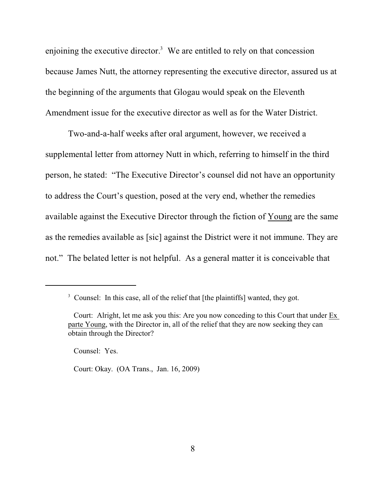enjoining the executive director.<sup>3</sup> We are entitled to rely on that concession because James Nutt, the attorney representing the executive director, assured us at the beginning of the arguments that Glogau would speak on the Eleventh Amendment issue for the executive director as well as for the Water District.

Two-and-a-half weeks after oral argument, however, we received a supplemental letter from attorney Nutt in which, referring to himself in the third person, he stated: "The Executive Director's counsel did not have an opportunity to address the Court's question, posed at the very end, whether the remedies available against the Executive Director through the fiction of Young are the same as the remedies available as [sic] against the District were it not immune. They are not." The belated letter is not helpful. As a general matter it is conceivable that

Counsel: Yes.

Court: Okay. (OA Trans., Jan. 16, 2009)

<sup>&</sup>lt;sup>3</sup> Counsel: In this case, all of the relief that [the plaintiffs] wanted, they got.

Court: Alright, let me ask you this: Are you now conceding to this Court that under Ex parte Young, with the Director in, all of the relief that they are now seeking they can obtain through the Director?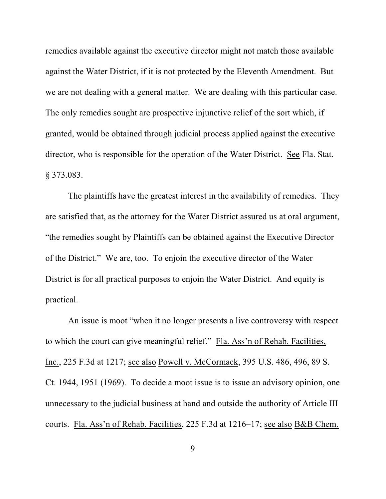remedies available against the executive director might not match those available against the Water District, if it is not protected by the Eleventh Amendment. But we are not dealing with a general matter. We are dealing with this particular case. The only remedies sought are prospective injunctive relief of the sort which, if granted, would be obtained through judicial process applied against the executive director, who is responsible for the operation of the Water District. See Fla. Stat. § 373.083.

The plaintiffs have the greatest interest in the availability of remedies. They are satisfied that, as the attorney for the Water District assured us at oral argument, "the remedies sought by Plaintiffs can be obtained against the Executive Director of the District." We are, too. To enjoin the executive director of the Water District is for all practical purposes to enjoin the Water District. And equity is practical.

An issue is moot "when it no longer presents a live controversy with respect to which the court can give meaningful relief." Fla. Ass'n of Rehab. Facilities, Inc., 225 F.3d at 1217; see also Powell v. McCormack, 395 U.S. 486, 496, 89 S. Ct. 1944, 1951 (1969). To decide a moot issue is to issue an advisory opinion, one unnecessary to the judicial business at hand and outside the authority of Article III courts. Fla. Ass'n of Rehab. Facilities, 225 F.3d at 1216–17; see also B&B Chem.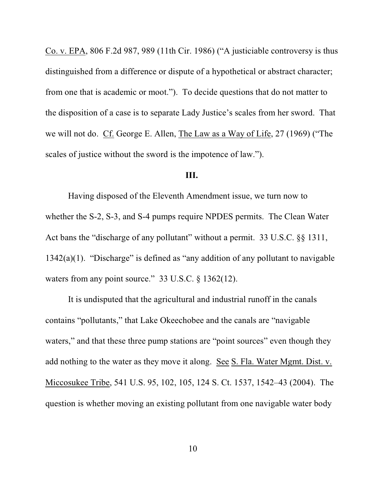Co. v. EPA, 806 F.2d 987, 989 (11th Cir. 1986) ("A justiciable controversy is thus distinguished from a difference or dispute of a hypothetical or abstract character; from one that is academic or moot."). To decide questions that do not matter to the disposition of a case is to separate Lady Justice's scales from her sword. That we will not do. Cf. George E. Allen, The Law as a Way of Life, 27 (1969) ("The scales of justice without the sword is the impotence of law.").

#### **III.**

Having disposed of the Eleventh Amendment issue, we turn now to whether the S-2, S-3, and S-4 pumps require NPDES permits. The Clean Water Act bans the "discharge of any pollutant" without a permit. 33 U.S.C. §§ 1311,  $1342(a)(1)$ . "Discharge" is defined as "any addition of any pollutant to navigable waters from any point source." 33 U.S.C. § 1362(12).

It is undisputed that the agricultural and industrial runoff in the canals contains "pollutants," that Lake Okeechobee and the canals are "navigable waters," and that these three pump stations are "point sources" even though they add nothing to the water as they move it along. See S. Fla. Water Mgmt. Dist. v. Miccosukee Tribe, 541 U.S. 95, 102, 105, 124 S. Ct. 1537, 1542–43 (2004). The question is whether moving an existing pollutant from one navigable water body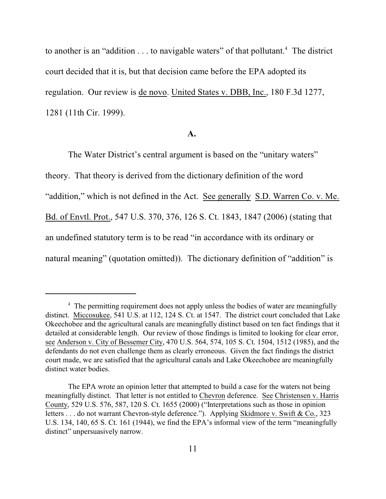to another is an "addition  $\dots$  to navigable waters" of that pollutant.<sup>4</sup> The district court decided that it is, but that decision came before the EPA adopted its regulation. Our review is de novo. United States v. DBB, Inc., 180 F.3d 1277, 1281 (11th Cir. 1999).

#### **A.**

The Water District's central argument is based on the "unitary waters" theory. That theory is derived from the dictionary definition of the word "addition," which is not defined in the Act. See generally S.D. Warren Co. v. Me. Bd. of Envtl. Prot., 547 U.S. 370, 376, 126 S. Ct. 1843, 1847 (2006) (stating that an undefined statutory term is to be read "in accordance with its ordinary or natural meaning" (quotation omitted)). The dictionary definition of "addition" is

<sup>&</sup>lt;sup>4</sup> The permitting requirement does not apply unless the bodies of water are meaningfully distinct. Miccosukee, 541 U.S. at 112, 124 S. Ct. at 1547. The district court concluded that Lake Okeechobee and the agricultural canals are meaningfully distinct based on ten fact findings that it detailed at considerable length. Our review of those findings is limited to looking for clear error, see Anderson v. City of Bessemer City, 470 U.S. 564, 574, 105 S. Ct. 1504, 1512 (1985), and the defendants do not even challenge them as clearly erroneous. Given the fact findings the district court made, we are satisfied that the agricultural canals and Lake Okeechobee are meaningfully distinct water bodies.

The EPA wrote an opinion letter that attempted to build a case for the waters not being meaningfully distinct. That letter is not entitled to Chevron deference. See Christensen v. Harris County, 529 U.S. 576, 587, 120 S. Ct. 1655 (2000) ("Interpretations such as those in opinion letters . . . do not warrant Chevron-style deference."). Applying Skidmore v. Swift & Co., 323 U.S. 134, 140, 65 S. Ct. 161 (1944), we find the EPA's informal view of the term "meaningfully distinct" unpersuasively narrow.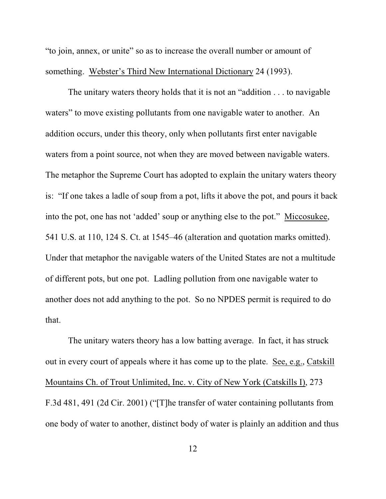"to join, annex, or unite" so as to increase the overall number or amount of something. Webster's Third New International Dictionary 24 (1993).

The unitary waters theory holds that it is not an "addition . . . to navigable waters" to move existing pollutants from one navigable water to another. An addition occurs, under this theory, only when pollutants first enter navigable waters from a point source, not when they are moved between navigable waters. The metaphor the Supreme Court has adopted to explain the unitary waters theory is: "If one takes a ladle of soup from a pot, lifts it above the pot, and pours it back into the pot, one has not 'added' soup or anything else to the pot." Miccosukee, 541 U.S. at 110, 124 S. Ct. at 1545–46 (alteration and quotation marks omitted). Under that metaphor the navigable waters of the United States are not a multitude of different pots, but one pot. Ladling pollution from one navigable water to another does not add anything to the pot. So no NPDES permit is required to do that.

The unitary waters theory has a low batting average. In fact, it has struck out in every court of appeals where it has come up to the plate. See, e.g., Catskill Mountains Ch. of Trout Unlimited, Inc. v. City of New York (Catskills I), 273 F.3d 481, 491 (2d Cir. 2001) ("[T]he transfer of water containing pollutants from one body of water to another, distinct body of water is plainly an addition and thus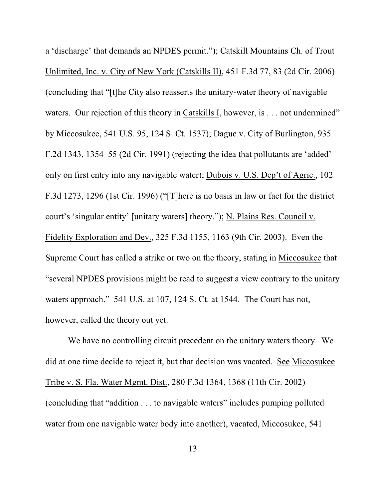a 'discharge' that demands an NPDES permit."); Catskill Mountains Ch. of Trout Unlimited, Inc. v. City of New York (Catskills II), 451 F.3d 77, 83 (2d Cir. 2006) (concluding that "[t]he City also reasserts the unitary-water theory of navigable waters. Our rejection of this theory in Catskills I, however, is . . . not undermined" by Miccosukee, 541 U.S. 95, 124 S. Ct. 1537); Dague v. City of Burlington, 935 F.2d 1343, 1354–55 (2d Cir. 1991) (rejecting the idea that pollutants are 'added' only on first entry into any navigable water); Dubois v. U.S. Dep't of Agric., 102 F.3d 1273, 1296 (1st Cir. 1996) ("[T]here is no basis in law or fact for the district court's 'singular entity' [unitary waters] theory."); N. Plains Res. Council v. Fidelity Exploration and Dev., 325 F.3d 1155, 1163 (9th Cir. 2003). Even the Supreme Court has called a strike or two on the theory, stating in Miccosukee that "several NPDES provisions might be read to suggest a view contrary to the unitary waters approach." 541 U.S. at 107, 124 S. Ct. at 1544. The Court has not, however, called the theory out yet.

We have no controlling circuit precedent on the unitary waters theory. We did at one time decide to reject it, but that decision was vacated. See Miccosukee Tribe v. S. Fla. Water Mgmt. Dist., 280 F.3d 1364, 1368 (11th Cir. 2002) (concluding that "addition . . . to navigable waters" includes pumping polluted water from one navigable water body into another), vacated, Miccosukee, 541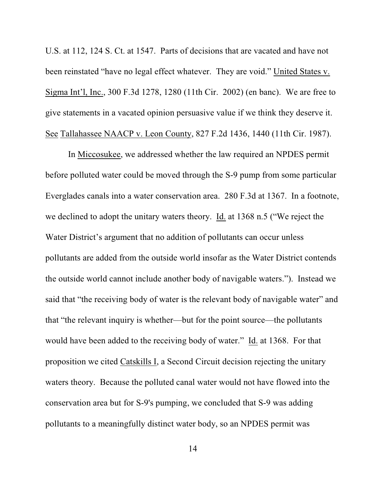U.S. at 112, 124 S. Ct. at 1547. Parts of decisions that are vacated and have not been reinstated "have no legal effect whatever. They are void." United States v. Sigma Int'l, Inc., 300 F.3d 1278, 1280 (11th Cir. 2002) (en banc). We are free to give statements in a vacated opinion persuasive value if we think they deserve it. See Tallahassee NAACP v. Leon County, 827 F.2d 1436, 1440 (11th Cir. 1987).

In Miccosukee, we addressed whether the law required an NPDES permit before polluted water could be moved through the S-9 pump from some particular Everglades canals into a water conservation area. 280 F.3d at 1367. In a footnote, we declined to adopt the unitary waters theory. Id. at 1368 n.5 ("We reject the Water District's argument that no addition of pollutants can occur unless pollutants are added from the outside world insofar as the Water District contends the outside world cannot include another body of navigable waters."). Instead we said that "the receiving body of water is the relevant body of navigable water" and that "the relevant inquiry is whether—but for the point source—the pollutants would have been added to the receiving body of water." Id. at 1368. For that proposition we cited Catskills I, a Second Circuit decision rejecting the unitary waters theory. Because the polluted canal water would not have flowed into the conservation area but for S-9's pumping, we concluded that S-9 was adding pollutants to a meaningfully distinct water body, so an NPDES permit was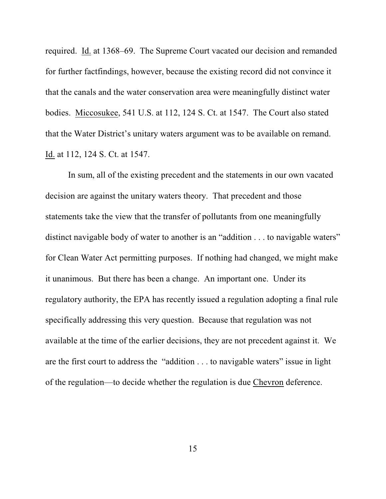required. Id. at 1368–69. The Supreme Court vacated our decision and remanded for further factfindings, however, because the existing record did not convince it that the canals and the water conservation area were meaningfully distinct water bodies. Miccosukee, 541 U.S. at 112, 124 S. Ct. at 1547. The Court also stated that the Water District's unitary waters argument was to be available on remand. Id. at 112, 124 S. Ct. at 1547.

In sum, all of the existing precedent and the statements in our own vacated decision are against the unitary waters theory. That precedent and those statements take the view that the transfer of pollutants from one meaningfully distinct navigable body of water to another is an "addition . . . to navigable waters" for Clean Water Act permitting purposes. If nothing had changed, we might make it unanimous. But there has been a change. An important one. Under its regulatory authority, the EPA has recently issued a regulation adopting a final rule specifically addressing this very question. Because that regulation was not available at the time of the earlier decisions, they are not precedent against it. We are the first court to address the "addition . . . to navigable waters" issue in light of the regulation—to decide whether the regulation is due Chevron deference.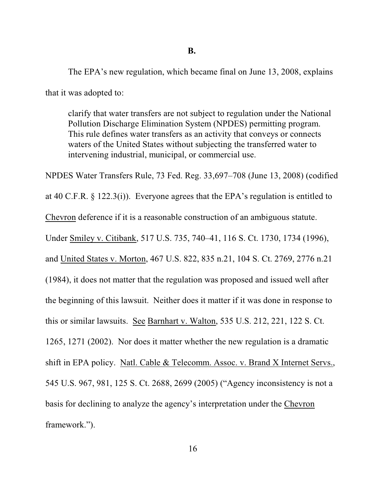The EPA's new regulation, which became final on June 13, 2008, explains that it was adopted to:

clarify that water transfers are not subject to regulation under the National Pollution Discharge Elimination System (NPDES) permitting program. This rule defines water transfers as an activity that conveys or connects waters of the United States without subjecting the transferred water to intervening industrial, municipal, or commercial use.

NPDES Water Transfers Rule, 73 Fed. Reg. 33,697–708 (June 13, 2008) (codified

at 40 C.F.R. § 122.3(i)). Everyone agrees that the EPA's regulation is entitled to

Chevron deference if it is a reasonable construction of an ambiguous statute.

Under Smiley v. Citibank, 517 U.S. 735, 740–41, 116 S. Ct. 1730, 1734 (1996),

and United States v. Morton, 467 U.S. 822, 835 n.21, 104 S. Ct. 2769, 2776 n.21

(1984), it does not matter that the regulation was proposed and issued well after the beginning of this lawsuit. Neither does it matter if it was done in response to

this or similar lawsuits. See Barnhart v. Walton, 535 U.S. 212, 221, 122 S. Ct.

1265, 1271 (2002). Nor does it matter whether the new regulation is a dramatic

shift in EPA policy. Natl. Cable & Telecomm. Assoc. v. Brand X Internet Servs.,

545 U.S. 967, 981, 125 S. Ct. 2688, 2699 (2005) ("Agency inconsistency is not a

basis for declining to analyze the agency's interpretation under the Chevron

framework.").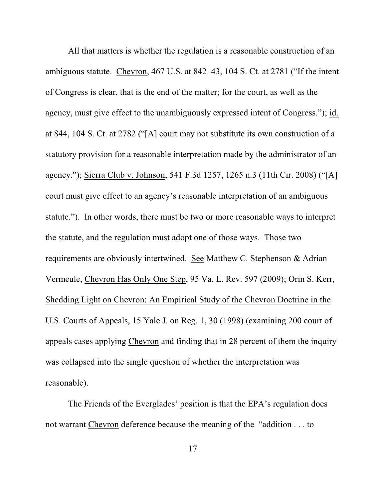All that matters is whether the regulation is a reasonable construction of an ambiguous statute. Chevron, 467 U.S. at 842–43, 104 S. Ct. at 2781 ("If the intent of Congress is clear, that is the end of the matter; for the court, as well as the agency, must give effect to the unambiguously expressed intent of Congress."); id. at 844, 104 S. Ct. at 2782 ("[A] court may not substitute its own construction of a statutory provision for a reasonable interpretation made by the administrator of an agency."); Sierra Club v. Johnson, 541 F.3d 1257, 1265 n.3 (11th Cir. 2008) ("[A] court must give effect to an agency's reasonable interpretation of an ambiguous statute."). In other words, there must be two or more reasonable ways to interpret the statute, and the regulation must adopt one of those ways. Those two requirements are obviously intertwined. See Matthew C. Stephenson & Adrian Vermeule, Chevron Has Only One Step, 95 Va. L. Rev. 597 (2009); Orin S. Kerr, Shedding Light on Chevron: An Empirical Study of the Chevron Doctrine in the U.S. Courts of Appeals, 15 Yale J. on Reg. 1, 30 (1998) (examining 200 court of appeals cases applying Chevron and finding that in 28 percent of them the inquiry was collapsed into the single question of whether the interpretation was reasonable).

The Friends of the Everglades' position is that the EPA's regulation does not warrant Chevron deference because the meaning of the "addition . . . to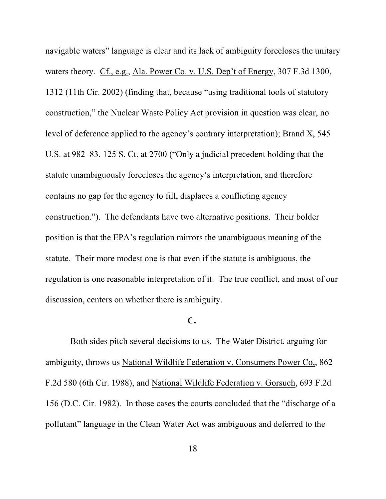navigable waters" language is clear and its lack of ambiguity forecloses the unitary waters theory. Cf., e.g., Ala. Power Co. v. U.S. Dep't of Energy, 307 F.3d 1300, 1312 (11th Cir. 2002) (finding that, because "using traditional tools of statutory construction," the Nuclear Waste Policy Act provision in question was clear, no level of deference applied to the agency's contrary interpretation); Brand X, 545 U.S. at 982–83, 125 S. Ct. at 2700 ("Only a judicial precedent holding that the statute unambiguously forecloses the agency's interpretation, and therefore contains no gap for the agency to fill, displaces a conflicting agency construction."). The defendants have two alternative positions. Their bolder position is that the EPA's regulation mirrors the unambiguous meaning of the statute. Their more modest one is that even if the statute is ambiguous, the regulation is one reasonable interpretation of it. The true conflict, and most of our discussion, centers on whether there is ambiguity.

## **C.**

 Both sides pitch several decisions to us. The Water District, arguing for ambiguity, throws us National Wildlife Federation v. Consumers Power Co,, 862 F.2d 580 (6th Cir. 1988), and National Wildlife Federation v. Gorsuch, 693 F.2d 156 (D.C. Cir. 1982). In those cases the courts concluded that the "discharge of a pollutant" language in the Clean Water Act was ambiguous and deferred to the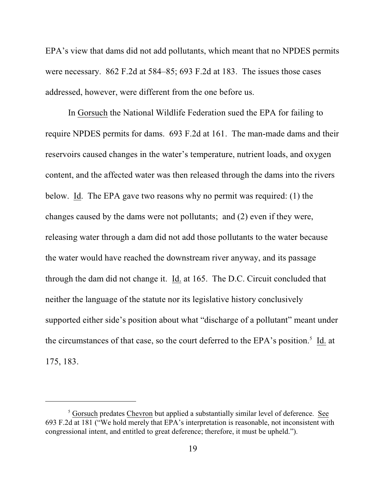EPA's view that dams did not add pollutants, which meant that no NPDES permits were necessary. 862 F.2d at 584–85; 693 F.2d at 183. The issues those cases addressed, however, were different from the one before us.

In Gorsuch the National Wildlife Federation sued the EPA for failing to require NPDES permits for dams. 693 F.2d at 161. The man-made dams and their reservoirs caused changes in the water's temperature, nutrient loads, and oxygen content, and the affected water was then released through the dams into the rivers below. Id. The EPA gave two reasons why no permit was required: (1) the changes caused by the dams were not pollutants; and (2) even if they were, releasing water through a dam did not add those pollutants to the water because the water would have reached the downstream river anyway, and its passage through the dam did not change it. Id. at 165. The D.C. Circuit concluded that neither the language of the statute nor its legislative history conclusively supported either side's position about what "discharge of a pollutant" meant under the circumstances of that case, so the court deferred to the EPA's position.<sup>5</sup> Id. at 175, 183.

<sup>&</sup>lt;sup>5</sup> Gorsuch predates Chevron but applied a substantially similar level of deference. See 693 F.2d at 181 ("We hold merely that EPA's interpretation is reasonable, not inconsistent with congressional intent, and entitled to great deference; therefore, it must be upheld.").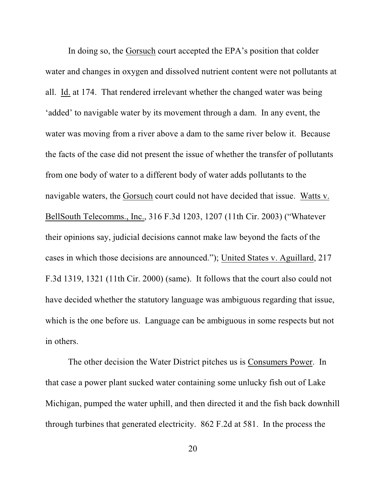In doing so, the Gorsuch court accepted the EPA's position that colder water and changes in oxygen and dissolved nutrient content were not pollutants at all. Id. at 174. That rendered irrelevant whether the changed water was being 'added' to navigable water by its movement through a dam. In any event, the water was moving from a river above a dam to the same river below it. Because the facts of the case did not present the issue of whether the transfer of pollutants from one body of water to a different body of water adds pollutants to the navigable waters, the Gorsuch court could not have decided that issue. Watts v. BellSouth Telecomms., Inc., 316 F.3d 1203, 1207 (11th Cir. 2003) ("Whatever their opinions say, judicial decisions cannot make law beyond the facts of the cases in which those decisions are announced."); United States v. Aguillard, 217 F.3d 1319, 1321 (11th Cir. 2000) (same). It follows that the court also could not have decided whether the statutory language was ambiguous regarding that issue, which is the one before us. Language can be ambiguous in some respects but not in others.

The other decision the Water District pitches us is Consumers Power. In that case a power plant sucked water containing some unlucky fish out of Lake Michigan, pumped the water uphill, and then directed it and the fish back downhill through turbines that generated electricity. 862 F.2d at 581. In the process the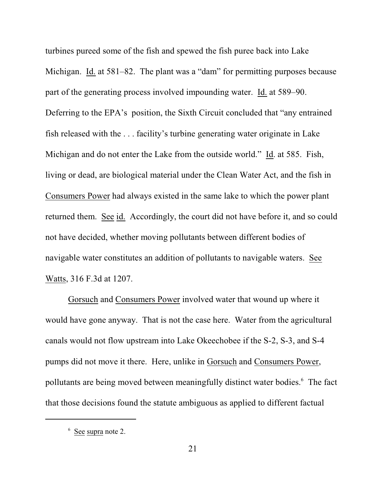turbines pureed some of the fish and spewed the fish puree back into Lake Michigan. Id. at 581–82. The plant was a "dam" for permitting purposes because part of the generating process involved impounding water. Id. at 589–90. Deferring to the EPA's position, the Sixth Circuit concluded that "any entrained fish released with the . . . facility's turbine generating water originate in Lake Michigan and do not enter the Lake from the outside world." Id. at 585. Fish, living or dead, are biological material under the Clean Water Act, and the fish in Consumers Power had always existed in the same lake to which the power plant returned them. See id. Accordingly, the court did not have before it, and so could not have decided, whether moving pollutants between different bodies of navigable water constitutes an addition of pollutants to navigable waters. See Watts, 316 F.3d at 1207.

Gorsuch and Consumers Power involved water that wound up where it would have gone anyway. That is not the case here. Water from the agricultural canals would not flow upstream into Lake Okeechobee if the S-2, S-3, and S-4 pumps did not move it there. Here, unlike in Gorsuch and Consumers Power, pollutants are being moved between meaningfully distinct water bodies.<sup>6</sup> The fact that those decisions found the statute ambiguous as applied to different factual

 $6$  See supra note 2.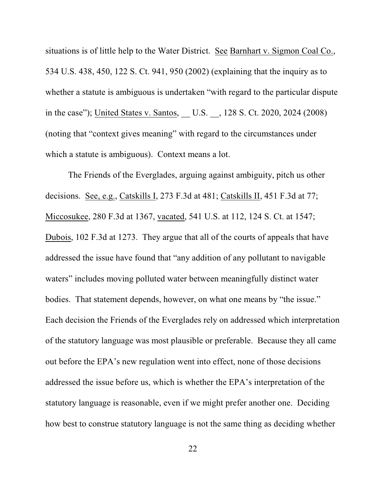situations is of little help to the Water District. See Barnhart v. Sigmon Coal Co., 534 U.S. 438, 450, 122 S. Ct. 941, 950 (2002) (explaining that the inquiry as to whether a statute is ambiguous is undertaken "with regard to the particular dispute in the case"); United States v. Santos, \_\_ U.S. \_\_, 128 S. Ct. 2020, 2024 (2008) (noting that "context gives meaning" with regard to the circumstances under which a statute is ambiguous). Context means a lot.

The Friends of the Everglades, arguing against ambiguity, pitch us other decisions. See, e.g., Catskills I, 273 F.3d at 481; Catskills II, 451 F.3d at 77; Miccosukee, 280 F.3d at 1367, vacated, 541 U.S. at 112, 124 S. Ct. at 1547; Dubois, 102 F.3d at 1273. They argue that all of the courts of appeals that have addressed the issue have found that "any addition of any pollutant to navigable waters" includes moving polluted water between meaningfully distinct water bodies. That statement depends, however, on what one means by "the issue." Each decision the Friends of the Everglades rely on addressed which interpretation of the statutory language was most plausible or preferable. Because they all came out before the EPA's new regulation went into effect, none of those decisions addressed the issue before us, which is whether the EPA's interpretation of the statutory language is reasonable, even if we might prefer another one. Deciding how best to construe statutory language is not the same thing as deciding whether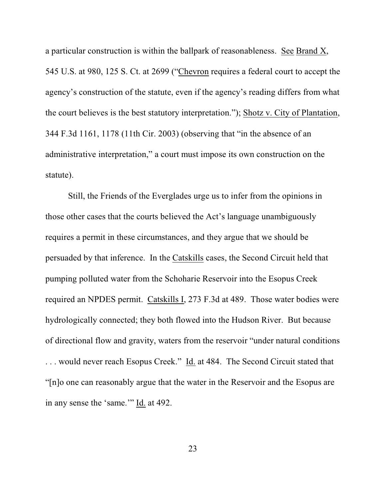a particular construction is within the ballpark of reasonableness. See Brand X, 545 U.S. at 980, 125 S. Ct. at 2699 ("Chevron requires a federal court to accept the agency's construction of the statute, even if the agency's reading differs from what the court believes is the best statutory interpretation."); Shotz v. City of Plantation, 344 F.3d 1161, 1178 (11th Cir. 2003) (observing that "in the absence of an administrative interpretation," a court must impose its own construction on the statute).

Still, the Friends of the Everglades urge us to infer from the opinions in those other cases that the courts believed the Act's language unambiguously requires a permit in these circumstances, and they argue that we should be persuaded by that inference. In the Catskills cases, the Second Circuit held that pumping polluted water from the Schoharie Reservoir into the Esopus Creek required an NPDES permit. Catskills I, 273 F.3d at 489. Those water bodies were hydrologically connected; they both flowed into the Hudson River. But because of directional flow and gravity, waters from the reservoir "under natural conditions . . . would never reach Esopus Creek." Id. at 484. The Second Circuit stated that "[n]o one can reasonably argue that the water in the Reservoir and the Esopus are in any sense the 'same.'" Id. at 492.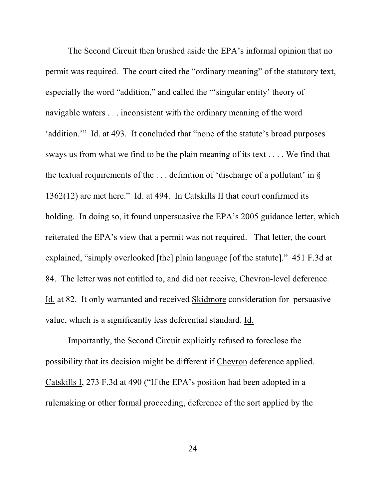The Second Circuit then brushed aside the EPA's informal opinion that no permit was required. The court cited the "ordinary meaning" of the statutory text, especially the word "addition," and called the "'singular entity' theory of navigable waters . . . inconsistent with the ordinary meaning of the word 'addition.'" Id. at 493. It concluded that "none of the statute's broad purposes sways us from what we find to be the plain meaning of its text . . . . We find that the textual requirements of the  $\dots$  definition of 'discharge of a pollutant' in § 1362(12) are met here." Id. at 494. In Catskills II that court confirmed its holding. In doing so, it found unpersuasive the EPA's 2005 guidance letter, which reiterated the EPA's view that a permit was not required. That letter, the court explained, "simply overlooked [the] plain language [of the statute]." 451 F.3d at 84. The letter was not entitled to, and did not receive, Chevron-level deference. Id. at 82. It only warranted and received Skidmore consideration for persuasive value, which is a significantly less deferential standard. Id.

Importantly, the Second Circuit explicitly refused to foreclose the possibility that its decision might be different if Chevron deference applied. Catskills I, 273 F.3d at 490 ("If the EPA's position had been adopted in a rulemaking or other formal proceeding, deference of the sort applied by the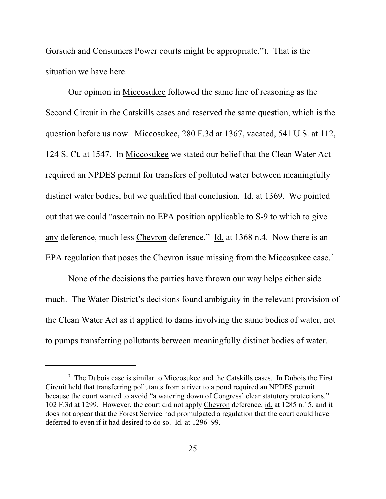Gorsuch and Consumers Power courts might be appropriate."). That is the situation we have here.

Our opinion in Miccosukee followed the same line of reasoning as the Second Circuit in the Catskills cases and reserved the same question, which is the question before us now. Miccosukee, 280 F.3d at 1367, vacated, 541 U.S. at 112, 124 S. Ct. at 1547. In Miccosukee we stated our belief that the Clean Water Act required an NPDES permit for transfers of polluted water between meaningfully distinct water bodies, but we qualified that conclusion. Id. at 1369. We pointed out that we could "ascertain no EPA position applicable to S-9 to which to give any deference, much less Chevron deference." Id. at 1368 n.4. Now there is an EPA regulation that poses the Chevron issue missing from the Miccosukee case.<sup>7</sup>

None of the decisions the parties have thrown our way helps either side much. The Water District's decisions found ambiguity in the relevant provision of the Clean Water Act as it applied to dams involving the same bodies of water, not to pumps transferring pollutants between meaningfully distinct bodies of water.

 $\frac{7}{7}$  The Dubois case is similar to Miccosukee and the Catskills cases. In Dubois the First Circuit held that transferring pollutants from a river to a pond required an NPDES permit because the court wanted to avoid "a watering down of Congress' clear statutory protections." 102 F.3d at 1299. However, the court did not apply Chevron deference, id. at 1285 n.15, and it does not appear that the Forest Service had promulgated a regulation that the court could have deferred to even if it had desired to do so. Id. at 1296–99.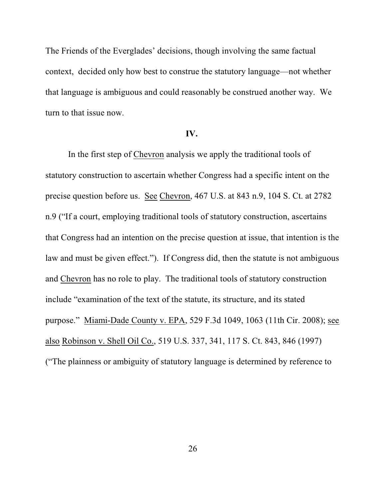The Friends of the Everglades' decisions, though involving the same factual context, decided only how best to construe the statutory language—not whether that language is ambiguous and could reasonably be construed another way. We turn to that issue now.

#### **IV.**

In the first step of Chevron analysis we apply the traditional tools of statutory construction to ascertain whether Congress had a specific intent on the precise question before us. See Chevron, 467 U.S. at 843 n.9, 104 S. Ct. at 2782 n.9 ("If a court, employing traditional tools of statutory construction, ascertains that Congress had an intention on the precise question at issue, that intention is the law and must be given effect."). If Congress did, then the statute is not ambiguous and Chevron has no role to play. The traditional tools of statutory construction include "examination of the text of the statute, its structure, and its stated purpose." Miami-Dade County v. EPA, 529 F.3d 1049, 1063 (11th Cir. 2008); see also Robinson v. Shell Oil Co., 519 U.S. 337, 341, 117 S. Ct. 843, 846 (1997) ("The plainness or ambiguity of statutory language is determined by reference to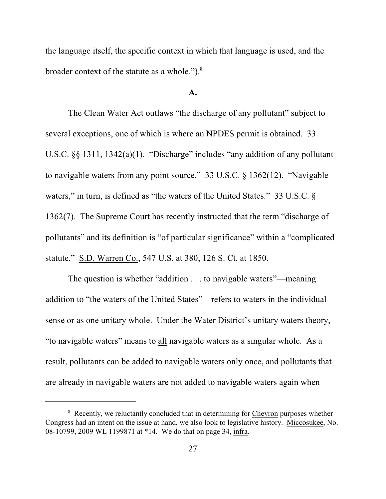the language itself, the specific context in which that language is used, and the broader context of the statute as a whole." $)$ .<sup>8</sup>

#### **A.**

The Clean Water Act outlaws "the discharge of any pollutant" subject to several exceptions, one of which is where an NPDES permit is obtained. 33 U.S.C. §§ 1311, 1342(a)(1). "Discharge" includes "any addition of any pollutant to navigable waters from any point source." 33 U.S.C. § 1362(12). "Navigable waters," in turn, is defined as "the waters of the United States." 33 U.S.C. § 1362(7). The Supreme Court has recently instructed that the term "discharge of pollutants" and its definition is "of particular significance" within a "complicated statute." S.D. Warren Co., 547 U.S. at 380, 126 S. Ct. at 1850.

The question is whether "addition . . . to navigable waters"—meaning addition to "the waters of the United States"—refers to waters in the individual sense or as one unitary whole. Under the Water District's unitary waters theory, "to navigable waters" means to all navigable waters as a singular whole. As a result, pollutants can be added to navigable waters only once, and pollutants that are already in navigable waters are not added to navigable waters again when

<sup>&</sup>lt;sup>8</sup> Recently, we reluctantly concluded that in determining for Chevron purposes whether Congress had an intent on the issue at hand, we also look to legislative history. Miccosukee, No. 08-10799, 2009 WL 1199871 at \*14. We do that on page 34, infra.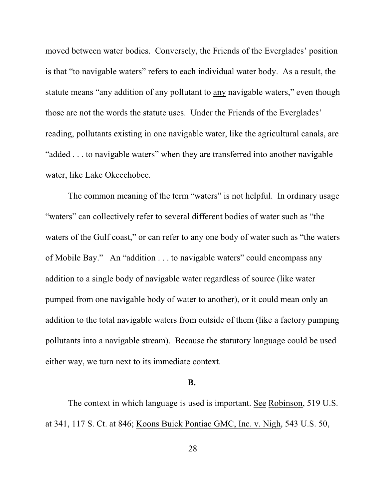moved between water bodies. Conversely, the Friends of the Everglades' position is that "to navigable waters" refers to each individual water body. As a result, the statute means "any addition of any pollutant to any navigable waters," even though those are not the words the statute uses. Under the Friends of the Everglades' reading, pollutants existing in one navigable water, like the agricultural canals, are "added . . . to navigable waters" when they are transferred into another navigable water, like Lake Okeechobee.

The common meaning of the term "waters" is not helpful. In ordinary usage "waters" can collectively refer to several different bodies of water such as "the waters of the Gulf coast," or can refer to any one body of water such as "the waters of Mobile Bay." An "addition . . . to navigable waters" could encompass any addition to a single body of navigable water regardless of source (like water pumped from one navigable body of water to another), or it could mean only an addition to the total navigable waters from outside of them (like a factory pumping pollutants into a navigable stream). Because the statutory language could be used either way, we turn next to its immediate context.

#### **B.**

The context in which language is used is important. See Robinson, 519 U.S. at 341, 117 S. Ct. at 846; Koons Buick Pontiac GMC, Inc. v. Nigh, 543 U.S. 50,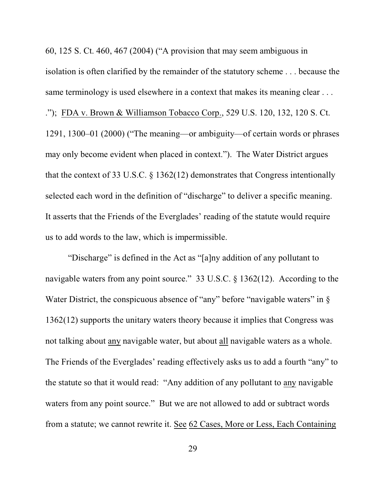60, 125 S. Ct. 460, 467 (2004) ("A provision that may seem ambiguous in isolation is often clarified by the remainder of the statutory scheme . . . because the same terminology is used elsewhere in a context that makes its meaning clear . . . ."); FDA v. Brown & Williamson Tobacco Corp., 529 U.S. 120, 132, 120 S. Ct. 1291, 1300–01 (2000) ("The meaning—or ambiguity—of certain words or phrases may only become evident when placed in context."). The Water District argues that the context of 33 U.S.C. § 1362(12) demonstrates that Congress intentionally selected each word in the definition of "discharge" to deliver a specific meaning. It asserts that the Friends of the Everglades' reading of the statute would require us to add words to the law, which is impermissible.

"Discharge" is defined in the Act as "[a]ny addition of any pollutant to navigable waters from any point source." 33 U.S.C. § 1362(12). According to the Water District, the conspicuous absence of "any" before "navigable waters" in § 1362(12) supports the unitary waters theory because it implies that Congress was not talking about any navigable water, but about all navigable waters as a whole. The Friends of the Everglades' reading effectively asks us to add a fourth "any" to the statute so that it would read: "Any addition of any pollutant to any navigable waters from any point source." But we are not allowed to add or subtract words from a statute; we cannot rewrite it. See 62 Cases, More or Less, Each Containing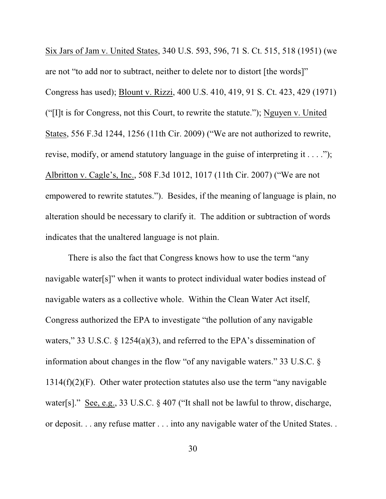Six Jars of Jam v. United States, 340 U.S. 593, 596, 71 S. Ct. 515, 518 (1951) (we are not "to add nor to subtract, neither to delete nor to distort [the words]" Congress has used); Blount v. Rizzi, 400 U.S. 410, 419, 91 S. Ct. 423, 429 (1971) ("[I]t is for Congress, not this Court, to rewrite the statute."); Nguyen v. United States, 556 F.3d 1244, 1256 (11th Cir. 2009) ("We are not authorized to rewrite, revise, modify, or amend statutory language in the guise of interpreting it . . . ."); Albritton v. Cagle's, Inc., 508 F.3d 1012, 1017 (11th Cir. 2007) ("We are not empowered to rewrite statutes."). Besides, if the meaning of language is plain, no alteration should be necessary to clarify it. The addition or subtraction of words indicates that the unaltered language is not plain.

There is also the fact that Congress knows how to use the term "any navigable water[s]" when it wants to protect individual water bodies instead of navigable waters as a collective whole. Within the Clean Water Act itself, Congress authorized the EPA to investigate "the pollution of any navigable waters," 33 U.S.C. § 1254(a)(3), and referred to the EPA's dissemination of information about changes in the flow "of any navigable waters." 33 U.S.C. §  $1314(f)(2)(F)$ . Other water protection statutes also use the term "any navigable" water[s]." See, e.g., 33 U.S.C. § 407 ("It shall not be lawful to throw, discharge, or deposit. . . any refuse matter . . . into any navigable water of the United States. .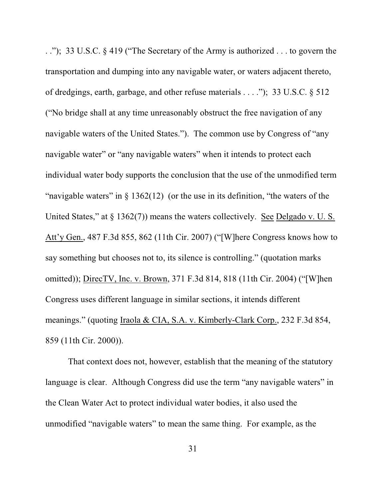. ."); 33 U.S.C. § 419 ("The Secretary of the Army is authorized . . . to govern the transportation and dumping into any navigable water, or waters adjacent thereto, of dredgings, earth, garbage, and other refuse materials . . . ."); 33 U.S.C. § 512 ("No bridge shall at any time unreasonably obstruct the free navigation of any navigable waters of the United States."). The common use by Congress of "any navigable water" or "any navigable waters" when it intends to protect each individual water body supports the conclusion that the use of the unmodified term "navigable waters" in  $\S$  1362(12) (or the use in its definition, "the waters of the United States," at § 1362(7)) means the waters collectively. See Delgado v. U.S. Att'y Gen., 487 F.3d 855, 862 (11th Cir. 2007) ("[W]here Congress knows how to say something but chooses not to, its silence is controlling." (quotation marks omitted)); DirecTV, Inc. v. Brown, 371 F.3d 814, 818 (11th Cir. 2004) ("[W]hen Congress uses different language in similar sections, it intends different meanings." (quoting Iraola & CIA, S.A. v. Kimberly-Clark Corp., 232 F.3d 854, 859 (11th Cir. 2000)).

That context does not, however, establish that the meaning of the statutory language is clear. Although Congress did use the term "any navigable waters" in the Clean Water Act to protect individual water bodies, it also used the unmodified "navigable waters" to mean the same thing. For example, as the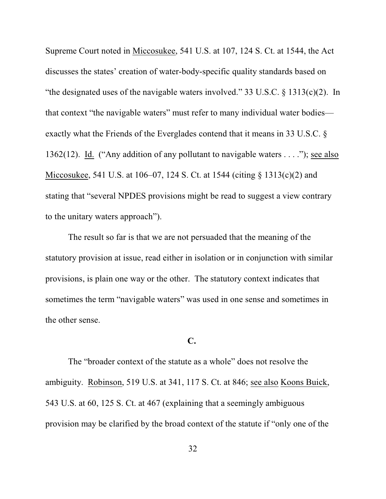Supreme Court noted in Miccosukee, 541 U.S. at 107, 124 S. Ct. at 1544, the Act discusses the states' creation of water-body-specific quality standards based on "the designated uses of the navigable waters involved." 33 U.S.C. § 1313(c)(2). In that context "the navigable waters" must refer to many individual water bodies exactly what the Friends of the Everglades contend that it means in 33 U.S.C. § 1362(12). Id. ("Any addition of any pollutant to navigable waters . . . ."); see also Miccosukee, 541 U.S. at 106–07, 124 S. Ct. at 1544 (citing § 1313(c)(2) and stating that "several NPDES provisions might be read to suggest a view contrary to the unitary waters approach").

The result so far is that we are not persuaded that the meaning of the statutory provision at issue, read either in isolation or in conjunction with similar provisions, is plain one way or the other. The statutory context indicates that sometimes the term "navigable waters" was used in one sense and sometimes in the other sense.

### **C.**

The "broader context of the statute as a whole" does not resolve the ambiguity. Robinson, 519 U.S. at 341, 117 S. Ct. at 846; see also Koons Buick, 543 U.S. at 60, 125 S. Ct. at 467 (explaining that a seemingly ambiguous provision may be clarified by the broad context of the statute if "only one of the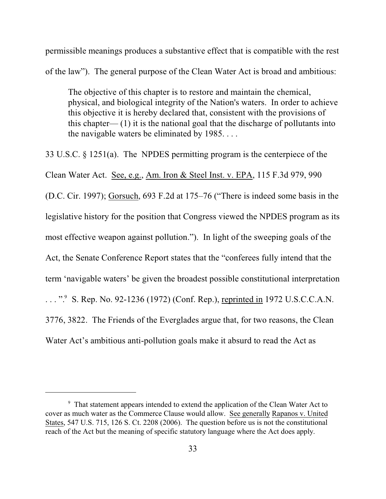permissible meanings produces a substantive effect that is compatible with the rest of the law"). The general purpose of the Clean Water Act is broad and ambitious:

The objective of this chapter is to restore and maintain the chemical, physical, and biological integrity of the Nation's waters. In order to achieve this objective it is hereby declared that, consistent with the provisions of this chapter—  $(1)$  it is the national goal that the discharge of pollutants into the navigable waters be eliminated by 1985. . . .

33 U.S.C. § 1251(a). The NPDES permitting program is the centerpiece of the Clean Water Act. See, e.g., Am. Iron & Steel Inst. v. EPA, 115 F.3d 979, 990 (D.C. Cir. 1997); Gorsuch, 693 F.2d at 175–76 ("There is indeed some basis in the legislative history for the position that Congress viewed the NPDES program as its most effective weapon against pollution."). In light of the sweeping goals of the Act, the Senate Conference Report states that the "conferees fully intend that the term 'navigable waters' be given the broadest possible constitutional interpretation  $\ldots$ ". S. Rep. No. 92-1236 (1972) (Conf. Rep.), reprinted in 1972 U.S.C.C.A.N. 3776, 3822. The Friends of the Everglades argue that, for two reasons, the Clean Water Act's ambitious anti-pollution goals make it absurd to read the Act as

<sup>&</sup>lt;sup>9</sup> That statement appears intended to extend the application of the Clean Water Act to cover as much water as the Commerce Clause would allow. See generally Rapanos v. United States, 547 U.S. 715, 126 S. Ct. 2208 (2006). The question before us is not the constitutional reach of the Act but the meaning of specific statutory language where the Act does apply.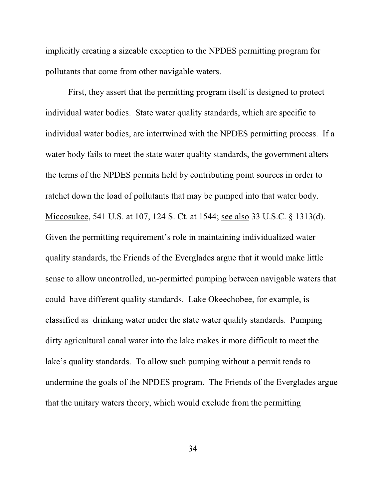implicitly creating a sizeable exception to the NPDES permitting program for pollutants that come from other navigable waters.

First, they assert that the permitting program itself is designed to protect individual water bodies. State water quality standards, which are specific to individual water bodies, are intertwined with the NPDES permitting process. If a water body fails to meet the state water quality standards, the government alters the terms of the NPDES permits held by contributing point sources in order to ratchet down the load of pollutants that may be pumped into that water body. Miccosukee, 541 U.S. at 107, 124 S. Ct. at 1544; see also 33 U.S.C. § 1313(d). Given the permitting requirement's role in maintaining individualized water quality standards, the Friends of the Everglades argue that it would make little sense to allow uncontrolled, un-permitted pumping between navigable waters that could have different quality standards. Lake Okeechobee, for example, is classified as drinking water under the state water quality standards. Pumping dirty agricultural canal water into the lake makes it more difficult to meet the lake's quality standards. To allow such pumping without a permit tends to undermine the goals of the NPDES program. The Friends of the Everglades argue that the unitary waters theory, which would exclude from the permitting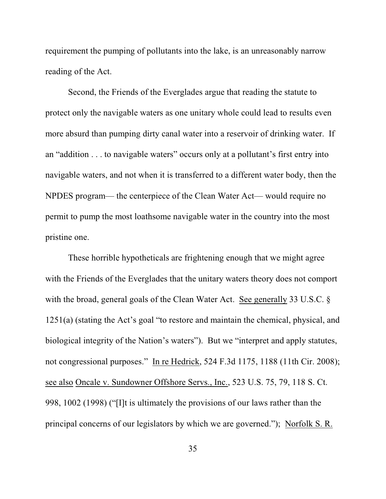requirement the pumping of pollutants into the lake, is an unreasonably narrow reading of the Act.

Second, the Friends of the Everglades argue that reading the statute to protect only the navigable waters as one unitary whole could lead to results even more absurd than pumping dirty canal water into a reservoir of drinking water. If an "addition . . . to navigable waters" occurs only at a pollutant's first entry into navigable waters, and not when it is transferred to a different water body, then the NPDES program— the centerpiece of the Clean Water Act— would require no permit to pump the most loathsome navigable water in the country into the most pristine one.

These horrible hypotheticals are frightening enough that we might agree with the Friends of the Everglades that the unitary waters theory does not comport with the broad, general goals of the Clean Water Act. See generally 33 U.S.C. § 1251(a) (stating the Act's goal "to restore and maintain the chemical, physical, and biological integrity of the Nation's waters"). But we "interpret and apply statutes, not congressional purposes." In re Hedrick, 524 F.3d 1175, 1188 (11th Cir. 2008); see also Oncale v. Sundowner Offshore Servs., Inc., 523 U.S. 75, 79, 118 S. Ct. 998, 1002 (1998) ("[I]t is ultimately the provisions of our laws rather than the principal concerns of our legislators by which we are governed."); Norfolk S. R.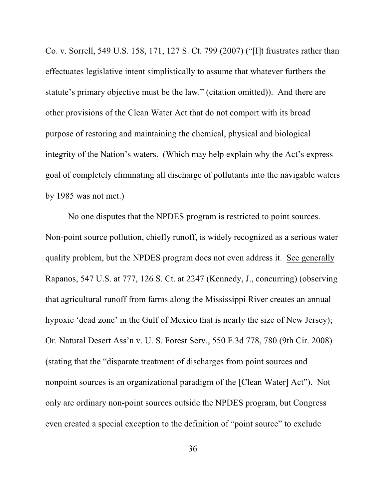Co. v. Sorrell, 549 U.S. 158, 171, 127 S. Ct. 799 (2007) ("[I]t frustrates rather than effectuates legislative intent simplistically to assume that whatever furthers the statute's primary objective must be the law." (citation omitted)). And there are other provisions of the Clean Water Act that do not comport with its broad purpose of restoring and maintaining the chemical, physical and biological integrity of the Nation's waters. (Which may help explain why the Act's express goal of completely eliminating all discharge of pollutants into the navigable waters by 1985 was not met.)

No one disputes that the NPDES program is restricted to point sources. Non-point source pollution, chiefly runoff, is widely recognized as a serious water quality problem, but the NPDES program does not even address it. See generally Rapanos, 547 U.S. at 777, 126 S. Ct. at 2247 (Kennedy, J., concurring) (observing that agricultural runoff from farms along the Mississippi River creates an annual hypoxic 'dead zone' in the Gulf of Mexico that is nearly the size of New Jersey); Or. Natural Desert Ass'n v. U. S. Forest Serv., 550 F.3d 778, 780 (9th Cir. 2008) (stating that the "disparate treatment of discharges from point sources and nonpoint sources is an organizational paradigm of the [Clean Water] Act"). Not only are ordinary non-point sources outside the NPDES program, but Congress even created a special exception to the definition of "point source" to exclude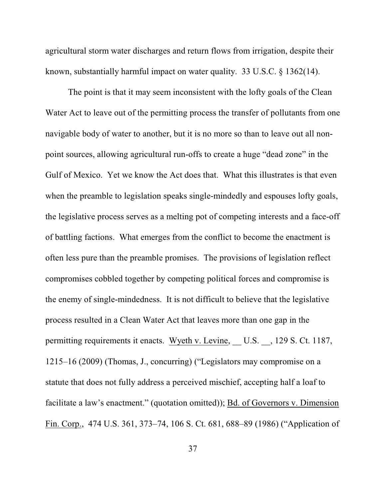agricultural storm water discharges and return flows from irrigation, despite their known, substantially harmful impact on water quality. 33 U.S.C. § 1362(14).

The point is that it may seem inconsistent with the lofty goals of the Clean Water Act to leave out of the permitting process the transfer of pollutants from one navigable body of water to another, but it is no more so than to leave out all nonpoint sources, allowing agricultural run-offs to create a huge "dead zone" in the Gulf of Mexico. Yet we know the Act does that. What this illustrates is that even when the preamble to legislation speaks single-mindedly and espouses lofty goals, the legislative process serves as a melting pot of competing interests and a face-off of battling factions. What emerges from the conflict to become the enactment is often less pure than the preamble promises. The provisions of legislation reflect compromises cobbled together by competing political forces and compromise is the enemy of single-mindedness. It is not difficult to believe that the legislative process resulted in a Clean Water Act that leaves more than one gap in the permitting requirements it enacts. Wyeth v. Levine, U.S. , 129 S. Ct. 1187, 1215–16 (2009) (Thomas, J., concurring) ("Legislators may compromise on a statute that does not fully address a perceived mischief, accepting half a loaf to facilitate a law's enactment." (quotation omitted)); Bd. of Governors v. Dimension Fin. Corp., 474 U.S. 361, 373–74, 106 S. Ct. 681, 688–89 (1986) ("Application of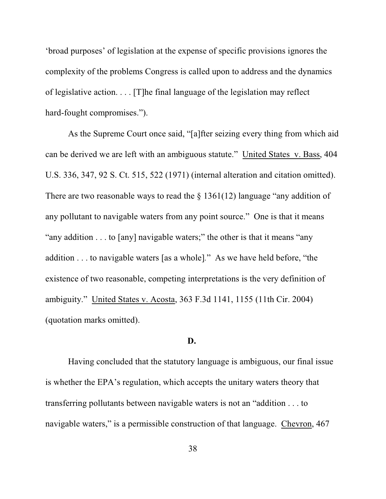'broad purposes' of legislation at the expense of specific provisions ignores the complexity of the problems Congress is called upon to address and the dynamics of legislative action. . . . [T]he final language of the legislation may reflect hard-fought compromises.").

As the Supreme Court once said, "[a]fter seizing every thing from which aid can be derived we are left with an ambiguous statute." United States v. Bass, 404 U.S. 336, 347, 92 S. Ct. 515, 522 (1971) (internal alteration and citation omitted). There are two reasonable ways to read the  $\S$  1361(12) language "any addition of any pollutant to navigable waters from any point source." One is that it means "any addition . . . to [any] navigable waters;" the other is that it means "any addition . . . to navigable waters [as a whole]*.*" As we have held before, "the existence of two reasonable, competing interpretations is the very definition of ambiguity." United States v. Acosta, 363 F.3d 1141, 1155 (11th Cir. 2004) (quotation marks omitted).

#### **D.**

Having concluded that the statutory language is ambiguous, our final issue is whether the EPA's regulation, which accepts the unitary waters theory that transferring pollutants between navigable waters is not an "addition . . . to navigable waters," is a permissible construction of that language. Chevron, 467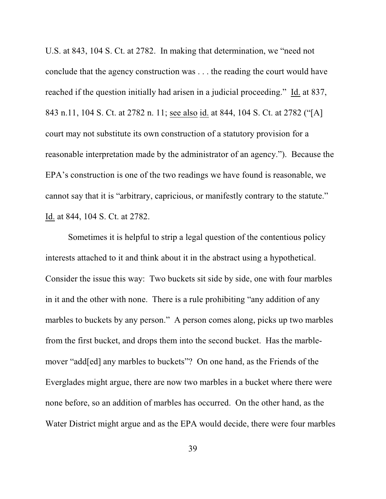U.S. at 843, 104 S. Ct. at 2782. In making that determination, we "need not conclude that the agency construction was . . . the reading the court would have reached if the question initially had arisen in a judicial proceeding." Id. at 837, 843 n.11, 104 S. Ct. at 2782 n. 11; see also id. at 844, 104 S. Ct. at 2782 ("[A] court may not substitute its own construction of a statutory provision for a reasonable interpretation made by the administrator of an agency."). Because the EPA's construction is one of the two readings we have found is reasonable, we cannot say that it is "arbitrary, capricious, or manifestly contrary to the statute." Id. at 844, 104 S. Ct. at 2782.

Sometimes it is helpful to strip a legal question of the contentious policy interests attached to it and think about it in the abstract using a hypothetical. Consider the issue this way: Two buckets sit side by side, one with four marbles in it and the other with none. There is a rule prohibiting "any addition of any marbles to buckets by any person." A person comes along, picks up two marbles from the first bucket, and drops them into the second bucket. Has the marblemover "add[ed] any marbles to buckets"? On one hand, as the Friends of the Everglades might argue, there are now two marbles in a bucket where there were none before, so an addition of marbles has occurred. On the other hand, as the Water District might argue and as the EPA would decide, there were four marbles